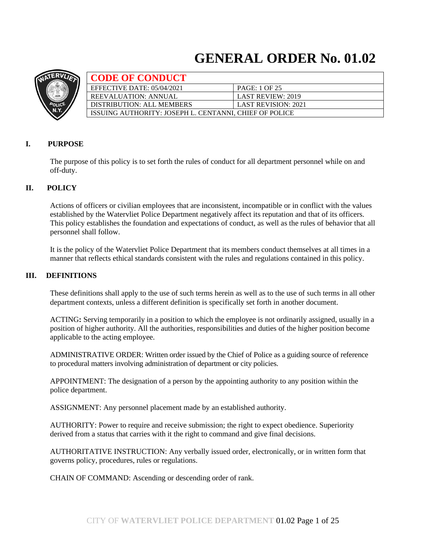# **GENERAL ORDER No. 01.02**



| <b>CODE OF CONDUCT</b>                                 |                            |
|--------------------------------------------------------|----------------------------|
| EFFECTIVE DATE: 05/04/2021                             | PAGE: 1 OF 25              |
| <b>REEVALUATION: ANNUAL</b>                            | <b>LAST REVIEW: 2019</b>   |
| DISTRIBUTION: ALL MEMBERS                              | <b>LAST REVISION: 2021</b> |
| ISSUING AUTHORITY: JOSEPH L. CENTANNI, CHIEF OF POLICE |                            |

# **I. PURPOSE**

The purpose of this policy is to set forth the rules of conduct for all department personnel while on and off-duty.

# **II. POLICY**

Actions of officers or civilian employees that are inconsistent, incompatible or in conflict with the values established by the Watervliet Police Department negatively affect its reputation and that of its officers. This policy establishes the foundation and expectations of conduct, as well as the rules of behavior that all personnel shall follow.

It is the policy of the Watervliet Police Department that its members conduct themselves at all times in a manner that reflects ethical standards consistent with the rules and regulations contained in this policy.

## **III. DEFINITIONS**

These definitions shall apply to the use of such terms herein as well as to the use of such terms in all other department contexts, unless a different definition is specifically set forth in another document.

ACTING**:** Serving temporarily in a position to which the employee is not ordinarily assigned, usually in a position of higher authority. All the authorities, responsibilities and duties of the higher position become applicable to the acting employee.

ADMINISTRATIVE ORDER: Written order issued by the Chief of Police as a guiding source of reference to procedural matters involving administration of department or city policies.

APPOINTMENT: The designation of a person by the appointing authority to any position within the police department.

ASSIGNMENT: Any personnel placement made by an established authority.

AUTHORITY: Power to require and receive submission; the right to expect obedience. Superiority derived from a status that carries with it the right to command and give final decisions.

AUTHORITATIVE INSTRUCTION: Any verbally issued order, electronically, or in written form that governs policy, procedures, rules or regulations.

CHAIN OF COMMAND: Ascending or descending order of rank.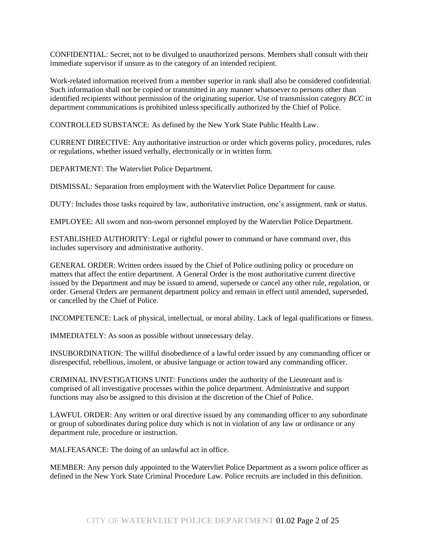CONFIDENTIAL: Secret, not to be divulged to unauthorized persons. Members shall consult with their immediate supervisor if unsure as to the category of an intended recipient.

Work-related information received from a member superior in rank shall also be considered confidential. Such information shall not be copied or transmitted in any manner whatsoever to persons other than identified recipients without permission of the originating superior. Use of transmission category *BCC* in department communications is prohibited unless specifically authorized by the Chief of Police.

CONTROLLED SUBSTANCE: As defined by the New York State Public Health Law.

CURRENT DIRECTIVE: Any authoritative instruction or order which governs policy, procedures, rules or regulations, whether issued verbally, electronically or in written form.

DEPARTMENT: The Watervliet Police Department.

DISMISSAL: Separation from employment with the Watervliet Police Department for cause.

DUTY: Includes those tasks required by law, authoritative instruction, one's assignment, rank or status.

EMPLOYEE: All sworn and non-sworn personnel employed by the Watervliet Police Department.

ESTABLISHED AUTHORITY: Legal or rightful power to command or have command over, this includes supervisory and administrative authority.

GENERAL ORDER: Written orders issued by the Chief of Police outlining policy or procedure on matters that affect the entire department. A General Order is the most authoritative current directive issued by the Department and may be issued to amend, supersede or cancel any other rule, regulation, or order. General Orders are permanent department policy and remain in effect until amended, superseded, or cancelled by the Chief of Police.

INCOMPETENCE: Lack of physical, intellectual, or moral ability. Lack of legal qualifications or fitness.

IMMEDIATELY: As soon as possible without unnecessary delay.

INSUBORDINATION: The willful disobedience of a lawful order issued by any commanding officer or disrespectful, rebellious, insolent, or abusive language or action toward any commanding officer.

CRIMINAL INVESTIGATIONS UNIT: Functions under the authority of the Lieutenant and is comprised of all investigative processes within the police department. Administrative and support functions may also be assigned to this division at the discretion of the Chief of Police.

LAWFUL ORDER: Any written or oral directive issued by any commanding officer to any subordinate or group of subordinates during police duty which is not in violation of any law or ordinance or any department rule, procedure or instruction.

MALFEASANCE: The doing of an unlawful act in office.

MEMBER: Any person duly appointed to the Watervliet Police Department as a sworn police officer as defined in the New York State Criminal Procedure Law. Police recruits are included in this definition.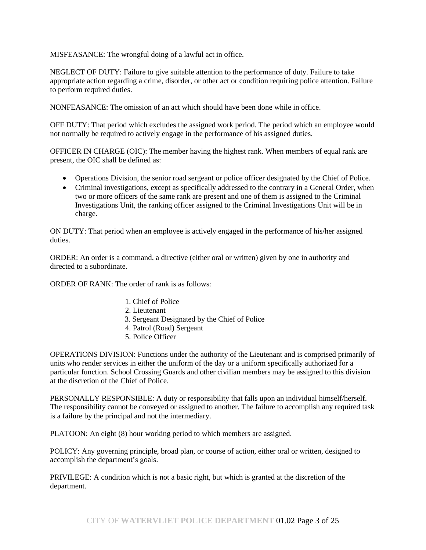MISFEASANCE: The wrongful doing of a lawful act in office.

NEGLECT OF DUTY: Failure to give suitable attention to the performance of duty. Failure to take appropriate action regarding a crime, disorder, or other act or condition requiring police attention. Failure to perform required duties.

NONFEASANCE: The omission of an act which should have been done while in office.

OFF DUTY: That period which excludes the assigned work period. The period which an employee would not normally be required to actively engage in the performance of his assigned duties.

OFFICER IN CHARGE (OIC): The member having the highest rank. When members of equal rank are present, the OIC shall be defined as:

- Operations Division, the senior road sergeant or police officer designated by the Chief of Police.
- Criminal investigations, except as specifically addressed to the contrary in a General Order, when two or more officers of the same rank are present and one of them is assigned to the Criminal Investigations Unit, the ranking officer assigned to the Criminal Investigations Unit will be in charge.

ON DUTY: That period when an employee is actively engaged in the performance of his/her assigned duties.

ORDER: An order is a command, a directive (either oral or written) given by one in authority and directed to a subordinate.

ORDER OF RANK: The order of rank is as follows:

- 1. Chief of Police
- 2. Lieutenant
- 3. Sergeant Designated by the Chief of Police
- 4. Patrol (Road) Sergeant
- 5. Police Officer

OPERATIONS DIVISION: Functions under the authority of the Lieutenant and is comprised primarily of units who render services in either the uniform of the day or a uniform specifically authorized for a particular function. School Crossing Guards and other civilian members may be assigned to this division at the discretion of the Chief of Police.

PERSONALLY RESPONSIBLE: A duty or responsibility that falls upon an individual himself/herself. The responsibility cannot be conveyed or assigned to another. The failure to accomplish any required task is a failure by the principal and not the intermediary.

PLATOON: An eight (8) hour working period to which members are assigned.

POLICY: Any governing principle, broad plan, or course of action, either oral or written, designed to accomplish the department's goals.

PRIVILEGE: A condition which is not a basic right, but which is granted at the discretion of the department.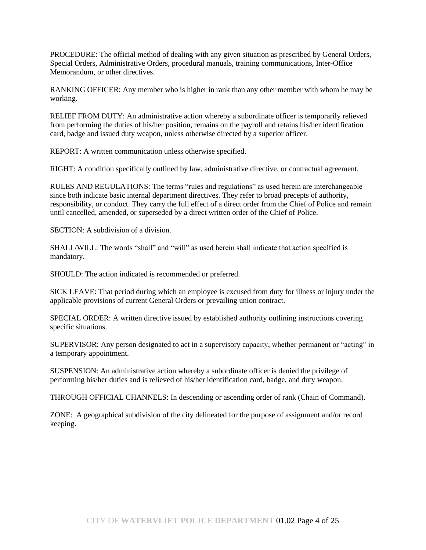PROCEDURE: The official method of dealing with any given situation as prescribed by General Orders, Special Orders, Administrative Orders, procedural manuals, training communications, Inter-Office Memorandum, or other directives.

RANKING OFFICER: Any member who is higher in rank than any other member with whom he may be working.

RELIEF FROM DUTY: An administrative action whereby a subordinate officer is temporarily relieved from performing the duties of his/her position, remains on the payroll and retains his/her identification card, badge and issued duty weapon, unless otherwise directed by a superior officer.

REPORT: A written communication unless otherwise specified.

RIGHT: A condition specifically outlined by law, administrative directive, or contractual agreement.

RULES AND REGULATIONS: The terms "rules and regulations" as used herein are interchangeable since both indicate basic internal department directives. They refer to broad precepts of authority, responsibility, or conduct. They carry the full effect of a direct order from the Chief of Police and remain until cancelled, amended, or superseded by a direct written order of the Chief of Police.

SECTION: A subdivision of a division.

SHALL/WILL: The words "shall" and "will" as used herein shall indicate that action specified is mandatory.

SHOULD: The action indicated is recommended or preferred.

SICK LEAVE: That period during which an employee is excused from duty for illness or injury under the applicable provisions of current General Orders or prevailing union contract.

SPECIAL ORDER: A written directive issued by established authority outlining instructions covering specific situations.

SUPERVISOR: Any person designated to act in a supervisory capacity, whether permanent or "acting" in a temporary appointment.

SUSPENSION: An administrative action whereby a subordinate officer is denied the privilege of performing his/her duties and is relieved of his/her identification card, badge, and duty weapon.

THROUGH OFFICIAL CHANNELS: In descending or ascending order of rank (Chain of Command).

ZONE: A geographical subdivision of the city delineated for the purpose of assignment and/or record keeping.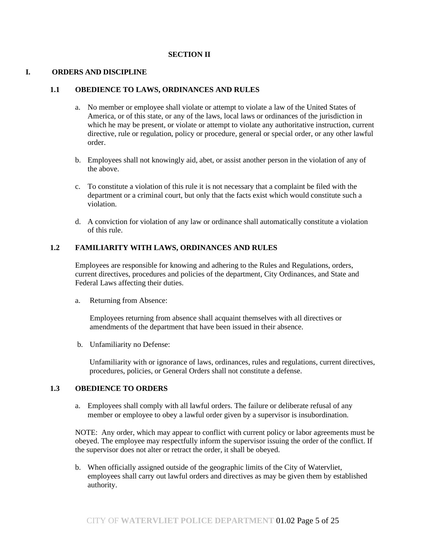#### **SECTION II**

#### **I. ORDERS AND DISCIPLINE**

#### **1.1 OBEDIENCE TO LAWS, ORDINANCES AND RULES**

- a. No member or employee shall violate or attempt to violate a law of the United States of America, or of this state, or any of the laws, local laws or ordinances of the jurisdiction in which he may be present, or violate or attempt to violate any authoritative instruction, current directive, rule or regulation, policy or procedure, general or special order, or any other lawful order.
- b. Employees shall not knowingly aid, abet, or assist another person in the violation of any of the above.
- c. To constitute a violation of this rule it is not necessary that a complaint be filed with the department or a criminal court, but only that the facts exist which would constitute such a violation.
- d. A conviction for violation of any law or ordinance shall automatically constitute a violation of this rule.

#### **1.2 FAMILIARITY WITH LAWS, ORDINANCES AND RULES**

Employees are responsible for knowing and adhering to the Rules and Regulations, orders, current directives, procedures and policies of the department, City Ordinances, and State and Federal Laws affecting their duties.

a. Returning from Absence:

Employees returning from absence shall acquaint themselves with all directives or amendments of the department that have been issued in their absence.

b. Unfamiliarity no Defense:

Unfamiliarity with or ignorance of laws, ordinances, rules and regulations, current directives, procedures, policies, or General Orders shall not constitute a defense.

#### **1.3 OBEDIENCE TO ORDERS**

a. Employees shall comply with all lawful orders. The failure or deliberate refusal of any member or employee to obey a lawful order given by a supervisor is insubordination.

NOTE: Any order, which may appear to conflict with current policy or labor agreements must be obeyed. The employee may respectfully inform the supervisor issuing the order of the conflict. If the supervisor does not alter or retract the order, it shall be obeyed.

b. When officially assigned outside of the geographic limits of the City of Watervliet, employees shall carry out lawful orders and directives as may be given them by established authority.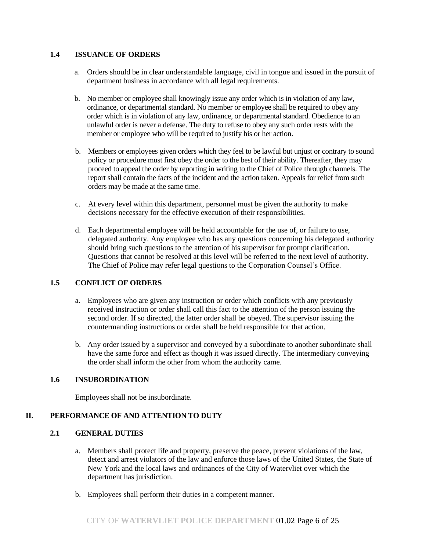## **1.4 ISSUANCE OF ORDERS**

- a. Orders should be in clear understandable language, civil in tongue and issued in the pursuit of department business in accordance with all legal requirements.
- b. No member or employee shall knowingly issue any order which is in violation of any law, ordinance, or departmental standard. No member or employee shall be required to obey any order which is in violation of any law, ordinance, or departmental standard. Obedience to an unlawful order is never a defense. The duty to refuse to obey any such order rests with the member or employee who will be required to justify his or her action.
- b. Members or employees given orders which they feel to be lawful but unjust or contrary to sound policy or procedure must first obey the order to the best of their ability. Thereafter, they may proceed to appeal the order by reporting in writing to the Chief of Police through channels. The report shall contain the facts of the incident and the action taken. Appeals for relief from such orders may be made at the same time.
- c. At every level within this department, personnel must be given the authority to make decisions necessary for the effective execution of their responsibilities.
- d. Each departmental employee will be held accountable for the use of, or failure to use, delegated authority. Any employee who has any questions concerning his delegated authority should bring such questions to the attention of his supervisor for prompt clarification. Questions that cannot be resolved at this level will be referred to the next level of authority. The Chief of Police may refer legal questions to the Corporation Counsel's Office.

# **1.5 CONFLICT OF ORDERS**

- a. Employees who are given any instruction or order which conflicts with any previously received instruction or order shall call this fact to the attention of the person issuing the second order. If so directed, the latter order shall be obeyed. The supervisor issuing the countermanding instructions or order shall be held responsible for that action.
- b. Any order issued by a supervisor and conveyed by a subordinate to another subordinate shall have the same force and effect as though it was issued directly. The intermediary conveying the order shall inform the other from whom the authority came.

# **1.6 INSUBORDINATION**

Employees shall not be insubordinate.

# **II. PERFORMANCE OF AND ATTENTION TO DUTY**

## **2.1 GENERAL DUTIES**

- a. Members shall protect life and property, preserve the peace, prevent violations of the law, detect and arrest violators of the law and enforce those laws of the United States, the State of New York and the local laws and ordinances of the City of Watervliet over which the department has jurisdiction.
- b. Employees shall perform their duties in a competent manner.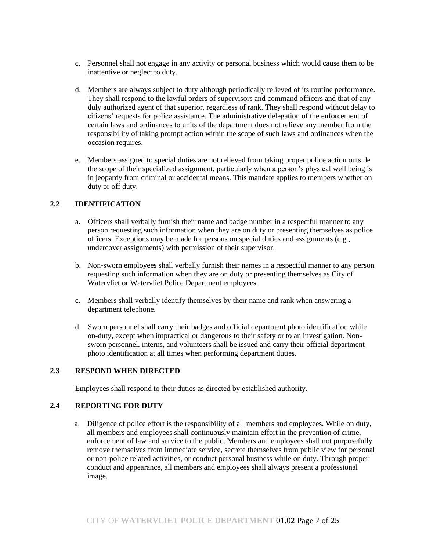- c. Personnel shall not engage in any activity or personal business which would cause them to be inattentive or neglect to duty.
- d. Members are always subject to duty although periodically relieved of its routine performance. They shall respond to the lawful orders of supervisors and command officers and that of any duly authorized agent of that superior, regardless of rank. They shall respond without delay to citizens' requests for police assistance. The administrative delegation of the enforcement of certain laws and ordinances to units of the department does not relieve any member from the responsibility of taking prompt action within the scope of such laws and ordinances when the occasion requires.
- e. Members assigned to special duties are not relieved from taking proper police action outside the scope of their specialized assignment, particularly when a person's physical well being is in jeopardy from criminal or accidental means. This mandate applies to members whether on duty or off duty.

# **2.2 IDENTIFICATION**

- a. Officers shall verbally furnish their name and badge number in a respectful manner to any person requesting such information when they are on duty or presenting themselves as police officers. Exceptions may be made for persons on special duties and assignments (e.g., undercover assignments) with permission of their supervisor.
- b. Non-sworn employees shall verbally furnish their names in a respectful manner to any person requesting such information when they are on duty or presenting themselves as City of Watervliet or Watervliet Police Department employees.
- c. Members shall verbally identify themselves by their name and rank when answering a department telephone.
- d. Sworn personnel shall carry their badges and official department photo identification while on-duty, except when impractical or dangerous to their safety or to an investigation. Nonsworn personnel, interns, and volunteers shall be issued and carry their official department photo identification at all times when performing department duties.

## **2.3 RESPOND WHEN DIRECTED**

Employees shall respond to their duties as directed by established authority.

# **2.4 REPORTING FOR DUTY**

a. Diligence of police effort is the responsibility of all members and employees. While on duty, all members and employees shall continuously maintain effort in the prevention of crime, enforcement of law and service to the public. Members and employees shall not purposefully remove themselves from immediate service, secrete themselves from public view for personal or non-police related activities, or conduct personal business while on duty. Through proper conduct and appearance, all members and employees shall always present a professional image.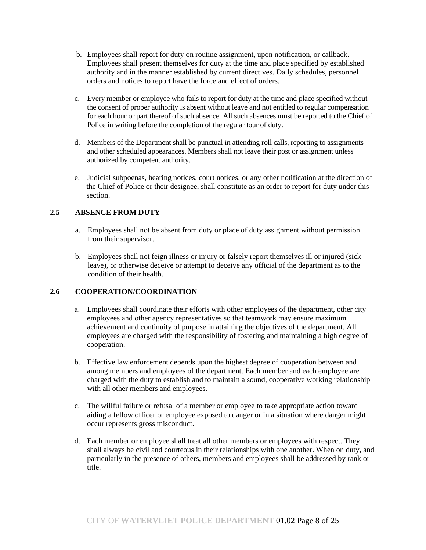- b. Employees shall report for duty on routine assignment, upon notification, or callback. Employees shall present themselves for duty at the time and place specified by established authority and in the manner established by current directives. Daily schedules, personnel orders and notices to report have the force and effect of orders.
- c. Every member or employee who fails to report for duty at the time and place specified without the consent of proper authority is absent without leave and not entitled to regular compensation for each hour or part thereof of such absence. All such absences must be reported to the Chief of Police in writing before the completion of the regular tour of duty.
- d. Members of the Department shall be punctual in attending roll calls, reporting to assignments and other scheduled appearances. Members shall not leave their post or assignment unless authorized by competent authority.
- e. Judicial subpoenas, hearing notices, court notices, or any other notification at the direction of the Chief of Police or their designee, shall constitute as an order to report for duty under this section.

# **2.5 ABSENCE FROM DUTY**

- a. Employees shall not be absent from duty or place of duty assignment without permission from their supervisor.
- b. Employees shall not feign illness or injury or falsely report themselves ill or injured (sick leave), or otherwise deceive or attempt to deceive any official of the department as to the condition of their health.

## **2.6 COOPERATION/COORDINATION**

- a. Employees shall coordinate their efforts with other employees of the department, other city employees and other agency representatives so that teamwork may ensure maximum achievement and continuity of purpose in attaining the objectives of the department. All employees are charged with the responsibility of fostering and maintaining a high degree of cooperation.
- b. Effective law enforcement depends upon the highest degree of cooperation between and among members and employees of the department. Each member and each employee are charged with the duty to establish and to maintain a sound, cooperative working relationship with all other members and employees.
- c. The willful failure or refusal of a member or employee to take appropriate action toward aiding a fellow officer or employee exposed to danger or in a situation where danger might occur represents gross misconduct.
- d. Each member or employee shall treat all other members or employees with respect. They shall always be civil and courteous in their relationships with one another. When on duty, and particularly in the presence of others, members and employees shall be addressed by rank or title.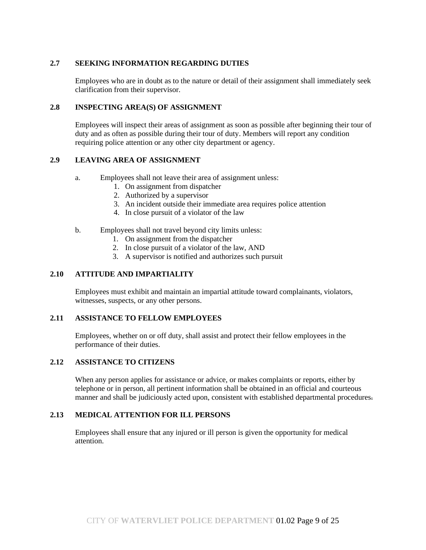# **2.7 SEEKING INFORMATION REGARDING DUTIES**

Employees who are in doubt as to the nature or detail of their assignment shall immediately seek clarification from their supervisor.

## **2.8 INSPECTING AREA(S) OF ASSIGNMENT**

Employees will inspect their areas of assignment as soon as possible after beginning their tour of duty and as often as possible during their tour of duty. Members will report any condition requiring police attention or any other city department or agency.

## **2.9 LEAVING AREA OF ASSIGNMENT**

- a. Employees shall not leave their area of assignment unless:
	- 1. On assignment from dispatcher
	- 2. Authorized by a supervisor
	- 3. An incident outside their immediate area requires police attention
	- 4. In close pursuit of a violator of the law

#### b. Employees shall not travel beyond city limits unless:

- 1. On assignment from the dispatcher
- 2. In close pursuit of a violator of the law, AND
- 3. A supervisor is notified and authorizes such pursuit

#### **2.10 ATTITUDE AND IMPARTIALITY**

Employees must exhibit and maintain an impartial attitude toward complainants, violators, witnesses, suspects, or any other persons.

#### **2.11 ASSISTANCE TO FELLOW EMPLOYEES**

Employees, whether on or off duty, shall assist and protect their fellow employees in the performance of their duties.

#### **2.12 ASSISTANCE TO CITIZENS**

When any person applies for assistance or advice, or makes complaints or reports, either by telephone or in person, all pertinent information shall be obtained in an official and courteous manner and shall be judiciously acted upon, consistent with established departmental procedures.

## **2.13 MEDICAL ATTENTION FOR ILL PERSONS**

Employees shall ensure that any injured or ill person is given the opportunity for medical attention.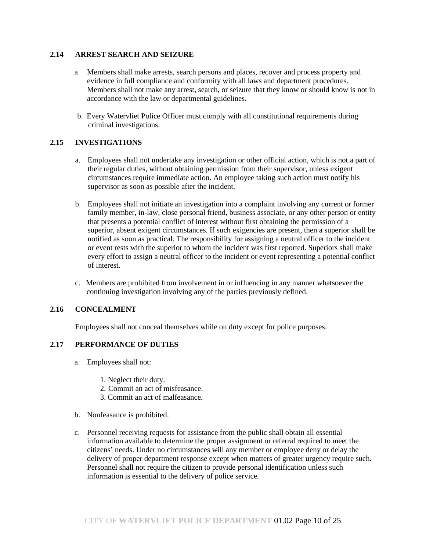## **2.14 ARREST SEARCH AND SEIZURE**

- a. Members shall make arrests, search persons and places, recover and process property and evidence in full compliance and conformity with all laws and department procedures. Members shall not make any arrest, search, or seizure that they know or should know is not in accordance with the law or departmental guidelines.
- b. Every Watervliet Police Officer must comply with all constitutional requirements during criminal investigations.

# **2.15 INVESTIGATIONS**

- a. Employees shall not undertake any investigation or other official action, which is not a part of their regular duties, without obtaining permission from their supervisor, unless exigent circumstances require immediate action. An employee taking such action must notify his supervisor as soon as possible after the incident.
- b. Employees shall not initiate an investigation into a complaint involving any current or former family member, in-law, close personal friend, business associate, or any other person or entity that presents a potential conflict of interest without first obtaining the permission of a superior, absent exigent circumstances. If such exigencies are present, then a superior shall be notified as soon as practical. The responsibility for assigning a neutral officer to the incident or event rests with the superior to whom the incident was first reported. Superiors shall make every effort to assign a neutral officer to the incident or event representing a potential conflict of interest.
- c. Members are prohibited from involvement in or influencing in any manner whatsoever the continuing investigation involving any of the parties previously defined.

# **2.16 CONCEALMENT**

Employees shall not conceal themselves while on duty except for police purposes.

# **2.17 PERFORMANCE OF DUTIES**

- a. Employees shall not:
	- 1. Neglect their duty.
	- 2. Commit an act of misfeasance.
	- 3. Commit an act of malfeasance.
- b. Nonfeasance is prohibited.
- c. Personnel receiving requests for assistance from the public shall obtain all essential information available to determine the proper assignment or referral required to meet the citizens' needs. Under no circumstances will any member or employee deny or delay the delivery of proper department response except when matters of greater urgency require such. Personnel shall not require the citizen to provide personal identification unless such information is essential to the delivery of police service.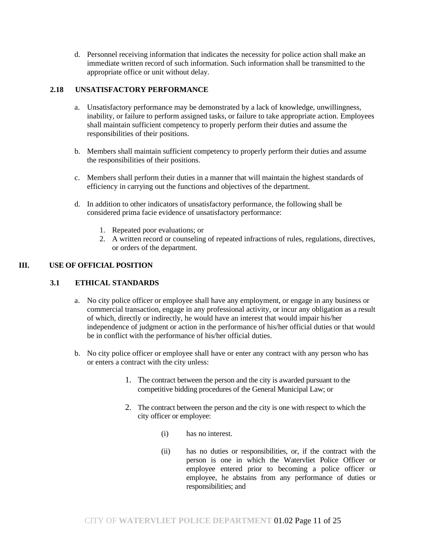d. Personnel receiving information that indicates the necessity for police action shall make an immediate written record of such information. Such information shall be transmitted to the appropriate office or unit without delay.

# **2.18 UNSATISFACTORY PERFORMANCE**

- a. Unsatisfactory performance may be demonstrated by a lack of knowledge, unwillingness, inability, or failure to perform assigned tasks, or failure to take appropriate action. Employees shall maintain sufficient competency to properly perform their duties and assume the responsibilities of their positions.
- b. Members shall maintain sufficient competency to properly perform their duties and assume the responsibilities of their positions.
- c. Members shall perform their duties in a manner that will maintain the highest standards of efficiency in carrying out the functions and objectives of the department.
- d. In addition to other indicators of unsatisfactory performance, the following shall be considered prima facie evidence of unsatisfactory performance:
	- 1. Repeated poor evaluations; or
	- 2. A written record or counseling of repeated infractions of rules, regulations, directives, or orders of the department.

# **III. USE OF OFFICIAL POSITION**

## **3.1 ETHICAL STANDARDS**

- a. No city police officer or employee shall have any employment, or engage in any business or commercial transaction, engage in any professional activity, or incur any obligation as a result of which, directly or indirectly, he would have an interest that would impair his/her independence of judgment or action in the performance of his/her official duties or that would be in conflict with the performance of his/her official duties.
- b. No city police officer or employee shall have or enter any contract with any person who has or enters a contract with the city unless:
	- 1. The contract between the person and the city is awarded pursuant to the competitive bidding procedures of the General Municipal Law; or
	- 2. The contract between the person and the city is one with respect to which the city officer or employee:
		- (i) has no interest.
		- (ii) has no duties or responsibilities, or, if the contract with the person is one in which the Watervliet Police Officer or employee entered prior to becoming a police officer or employee, he abstains from any performance of duties or responsibilities; and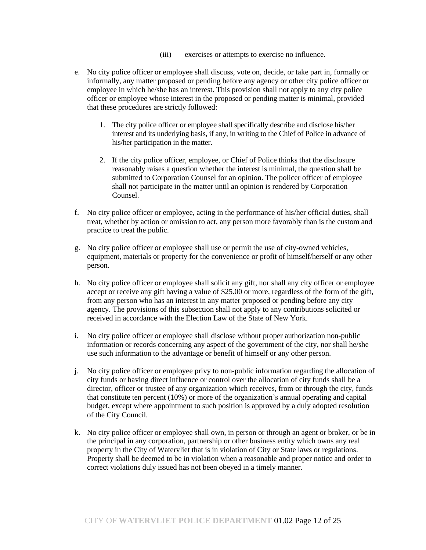- (iii) exercises or attempts to exercise no influence.
- e. No city police officer or employee shall discuss, vote on, decide, or take part in, formally or informally, any matter proposed or pending before any agency or other city police officer or employee in which he/she has an interest. This provision shall not apply to any city police officer or employee whose interest in the proposed or pending matter is minimal, provided that these procedures are strictly followed:
	- 1. The city police officer or employee shall specifically describe and disclose his/her interest and its underlying basis, if any, in writing to the Chief of Police in advance of his/her participation in the matter.
	- 2. If the city police officer, employee, or Chief of Police thinks that the disclosure reasonably raises a question whether the interest is minimal, the question shall be submitted to Corporation Counsel for an opinion. The policer officer of employee shall not participate in the matter until an opinion is rendered by Corporation Counsel.
- f. No city police officer or employee, acting in the performance of his/her official duties, shall treat, whether by action or omission to act, any person more favorably than is the custom and practice to treat the public.
- g. No city police officer or employee shall use or permit the use of city-owned vehicles, equipment, materials or property for the convenience or profit of himself/herself or any other person.
- h. No city police officer or employee shall solicit any gift, nor shall any city officer or employee accept or receive any gift having a value of \$25.00 or more, regardless of the form of the gift, from any person who has an interest in any matter proposed or pending before any city agency. The provisions of this subsection shall not apply to any contributions solicited or received in accordance with the Election Law of the State of New York.
- i. No city police officer or employee shall disclose without proper authorization non-public information or records concerning any aspect of the government of the city, nor shall he/she use such information to the advantage or benefit of himself or any other person.
- j. No city police officer or employee privy to non-public information regarding the allocation of city funds or having direct influence or control over the allocation of city funds shall be a director, officer or trustee of any organization which receives, from or through the city, funds that constitute ten percent (10%) or more of the organization's annual operating and capital budget, except where appointment to such position is approved by a duly adopted resolution of the City Council.
- k. No city police officer or employee shall own, in person or through an agent or broker, or be in the principal in any corporation, partnership or other business entity which owns any real property in the City of Watervliet that is in violation of City or State laws or regulations. Property shall be deemed to be in violation when a reasonable and proper notice and order to correct violations duly issued has not been obeyed in a timely manner.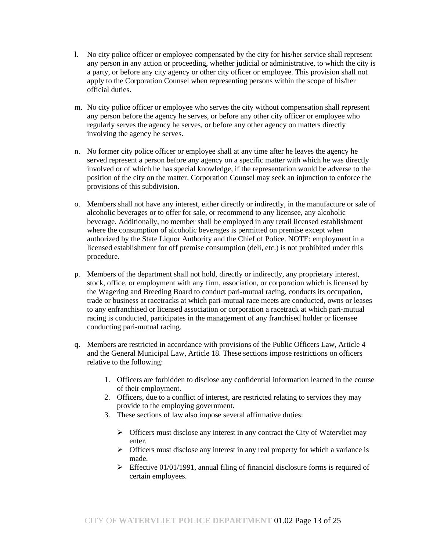- l. No city police officer or employee compensated by the city for his/her service shall represent any person in any action or proceeding, whether judicial or administrative, to which the city is a party, or before any city agency or other city officer or employee. This provision shall not apply to the Corporation Counsel when representing persons within the scope of his/her official duties.
- m. No city police officer or employee who serves the city without compensation shall represent any person before the agency he serves, or before any other city officer or employee who regularly serves the agency he serves, or before any other agency on matters directly involving the agency he serves.
- n. No former city police officer or employee shall at any time after he leaves the agency he served represent a person before any agency on a specific matter with which he was directly involved or of which he has special knowledge, if the representation would be adverse to the position of the city on the matter. Corporation Counsel may seek an injunction to enforce the provisions of this subdivision.
- o. Members shall not have any interest, either directly or indirectly, in the manufacture or sale of alcoholic beverages or to offer for sale, or recommend to any licensee, any alcoholic beverage. Additionally, no member shall be employed in any retail licensed establishment where the consumption of alcoholic beverages is permitted on premise except when authorized by the State Liquor Authority and the Chief of Police. NOTE: employment in a licensed establishment for off premise consumption (deli, etc.) is not prohibited under this procedure.
- p. Members of the department shall not hold, directly or indirectly, any proprietary interest, stock, office, or employment with any firm, association, or corporation which is licensed by the Wagering and Breeding Board to conduct pari-mutual racing, conducts its occupation, trade or business at racetracks at which pari-mutual race meets are conducted, owns or leases to any enfranchised or licensed association or corporation a racetrack at which pari-mutual racing is conducted, participates in the management of any franchised holder or licensee conducting pari-mutual racing.
- q. Members are restricted in accordance with provisions of the Public Officers Law, Article 4 and the General Municipal Law, Article 18. These sections impose restrictions on officers relative to the following:
	- 1. Officers are forbidden to disclose any confidential information learned in the course of their employment.
	- 2. Officers, due to a conflict of interest, are restricted relating to services they may provide to the employing government.
	- 3. These sections of law also impose several affirmative duties:
		- ➢ Officers must disclose any interest in any contract the City of Watervliet may enter.
		- ➢ Officers must disclose any interest in any real property for which a variance is made.
		- $\triangleright$  Effective 01/01/1991, annual filing of financial disclosure forms is required of certain employees.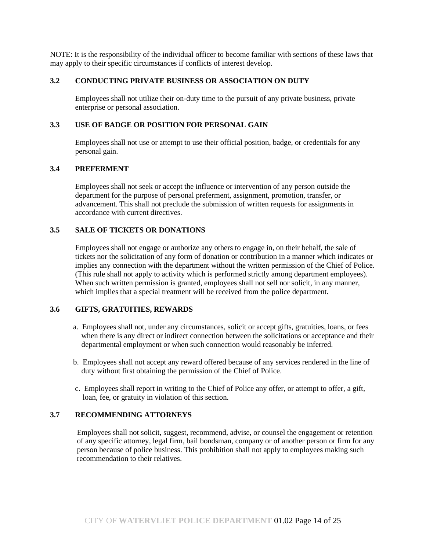NOTE: It is the responsibility of the individual officer to become familiar with sections of these laws that may apply to their specific circumstances if conflicts of interest develop.

#### **3.2 CONDUCTING PRIVATE BUSINESS OR ASSOCIATION ON DUTY**

Employees shall not utilize their on-duty time to the pursuit of any private business, private enterprise or personal association.

#### **3.3 USE OF BADGE OR POSITION FOR PERSONAL GAIN**

Employees shall not use or attempt to use their official position, badge, or credentials for any personal gain.

#### **3.4 PREFERMENT**

Employees shall not seek or accept the influence or intervention of any person outside the department for the purpose of personal preferment, assignment, promotion, transfer, or advancement. This shall not preclude the submission of written requests for assignments in accordance with current directives.

#### **3.5 SALE OF TICKETS OR DONATIONS**

Employees shall not engage or authorize any others to engage in, on their behalf, the sale of tickets nor the solicitation of any form of donation or contribution in a manner which indicates or implies any connection with the department without the written permission of the Chief of Police. (This rule shall not apply to activity which is performed strictly among department employees). When such written permission is granted, employees shall not sell nor solicit, in any manner, which implies that a special treatment will be received from the police department.

## **3.6 GIFTS, GRATUITIES, REWARDS**

- a. Employees shall not, under any circumstances, solicit or accept gifts, gratuities, loans, or fees when there is any direct or indirect connection between the solicitations or acceptance and their departmental employment or when such connection would reasonably be inferred.
- b. Employees shall not accept any reward offered because of any services rendered in the line of duty without first obtaining the permission of the Chief of Police.
- c. Employees shall report in writing to the Chief of Police any offer, or attempt to offer, a gift, loan, fee, or gratuity in violation of this section.

## **3.7 RECOMMENDING ATTORNEYS**

Employees shall not solicit, suggest, recommend, advise, or counsel the engagement or retention of any specific attorney, legal firm, bail bondsman, company or of another person or firm for any person because of police business. This prohibition shall not apply to employees making such recommendation to their relatives.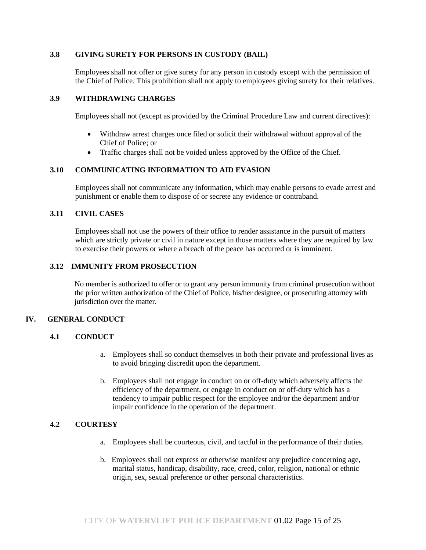#### **3.8 GIVING SURETY FOR PERSONS IN CUSTODY (BAIL)**

Employees shall not offer or give surety for any person in custody except with the permission of the Chief of Police. This prohibition shall not apply to employees giving surety for their relatives.

#### **3.9 WITHDRAWING CHARGES**

Employees shall not (except as provided by the Criminal Procedure Law and current directives):

- Withdraw arrest charges once filed or solicit their withdrawal without approval of the Chief of Police; or
- Traffic charges shall not be voided unless approved by the Office of the Chief.

# **3.10 COMMUNICATING INFORMATION TO AID EVASION**

Employees shall not communicate any information, which may enable persons to evade arrest and punishment or enable them to dispose of or secrete any evidence or contraband.

## **3.11 CIVIL CASES**

Employees shall not use the powers of their office to render assistance in the pursuit of matters which are strictly private or civil in nature except in those matters where they are required by law to exercise their powers or where a breach of the peace has occurred or is imminent.

## **3.12 IMMUNITY FROM PROSECUTION**

No member is authorized to offer or to grant any person immunity from criminal prosecution without the prior written authorization of the Chief of Police, his/her designee, or prosecuting attorney with jurisdiction over the matter.

## **IV. GENERAL CONDUCT**

## **4.1 CONDUCT**

- a. Employees shall so conduct themselves in both their private and professional lives as to avoid bringing discredit upon the department.
- b. Employees shall not engage in conduct on or off-duty which adversely affects the efficiency of the department, or engage in conduct on or off-duty which has a tendency to impair public respect for the employee and/or the department and/or impair confidence in the operation of the department.

## **4.2 COURTESY**

- a. Employees shall be courteous, civil, and tactful in the performance of their duties.
- b. Employees shall not express or otherwise manifest any prejudice concerning age, marital status, handicap, disability, race, creed, color, religion, national or ethnic origin, sex, sexual preference or other personal characteristics.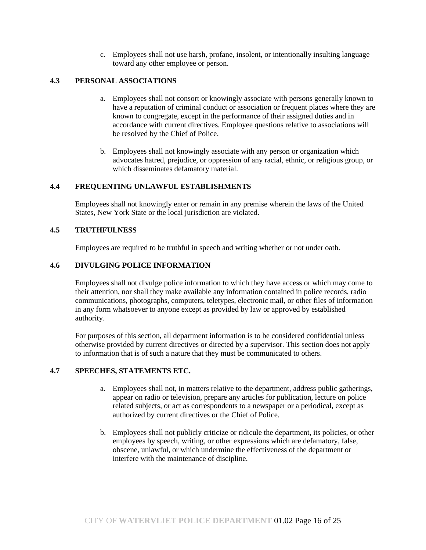c. Employees shall not use harsh, profane, insolent, or intentionally insulting language toward any other employee or person.

# **4.3 PERSONAL ASSOCIATIONS**

- a. Employees shall not consort or knowingly associate with persons generally known to have a reputation of criminal conduct or association or frequent places where they are known to congregate, except in the performance of their assigned duties and in accordance with current directives. Employee questions relative to associations will be resolved by the Chief of Police.
- b. Employees shall not knowingly associate with any person or organization which advocates hatred, prejudice, or oppression of any racial, ethnic, or religious group, or which disseminates defamatory material.

#### **4.4 FREQUENTING UNLAWFUL ESTABLISHMENTS**

Employees shall not knowingly enter or remain in any premise wherein the laws of the United States, New York State or the local jurisdiction are violated.

# **4.5 TRUTHFULNESS**

Employees are required to be truthful in speech and writing whether or not under oath.

## **4.6 DIVULGING POLICE INFORMATION**

Employees shall not divulge police information to which they have access or which may come to their attention, nor shall they make available any information contained in police records, radio communications, photographs, computers, teletypes, electronic mail, or other files of information in any form whatsoever to anyone except as provided by law or approved by established authority.

For purposes of this section, all department information is to be considered confidential unless otherwise provided by current directives or directed by a supervisor. This section does not apply to information that is of such a nature that they must be communicated to others.

#### **4.7 SPEECHES, STATEMENTS ETC.**

- a. Employees shall not, in matters relative to the department, address public gatherings, appear on radio or television, prepare any articles for publication, lecture on police related subjects, or act as correspondents to a newspaper or a periodical, except as authorized by current directives or the Chief of Police.
- b. Employees shall not publicly criticize or ridicule the department, its policies, or other employees by speech, writing, or other expressions which are defamatory, false, obscene, unlawful, or which undermine the effectiveness of the department or interfere with the maintenance of discipline.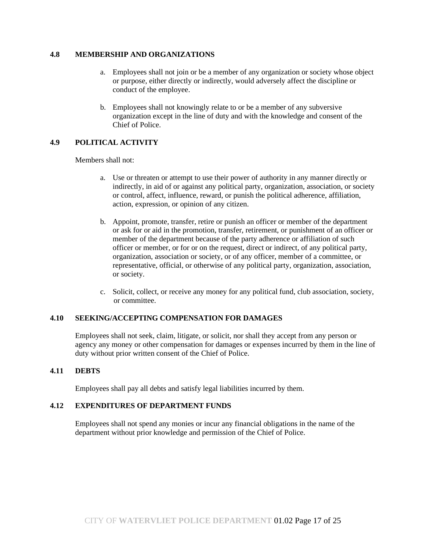#### **4.8 MEMBERSHIP AND ORGANIZATIONS**

- a. Employees shall not join or be a member of any organization or society whose object or purpose, either directly or indirectly, would adversely affect the discipline or conduct of the employee.
- b. Employees shall not knowingly relate to or be a member of any subversive organization except in the line of duty and with the knowledge and consent of the Chief of Police.

# **4.9 POLITICAL ACTIVITY**

Members shall not:

- a. Use or threaten or attempt to use their power of authority in any manner directly or indirectly, in aid of or against any political party, organization, association, or society or control, affect, influence, reward, or punish the political adherence, affiliation, action, expression, or opinion of any citizen.
- b. Appoint, promote, transfer, retire or punish an officer or member of the department or ask for or aid in the promotion, transfer, retirement, or punishment of an officer or member of the department because of the party adherence or affiliation of such officer or member, or for or on the request, direct or indirect, of any political party, organization, association or society, or of any officer, member of a committee, or representative, official, or otherwise of any political party, organization, association, or society.
- c. Solicit, collect, or receive any money for any political fund, club association, society, or committee.

## **4.10 SEEKING/ACCEPTING COMPENSATION FOR DAMAGES**

Employees shall not seek, claim, litigate, or solicit, nor shall they accept from any person or agency any money or other compensation for damages or expenses incurred by them in the line of duty without prior written consent of the Chief of Police.

## **4.11 DEBTS**

Employees shall pay all debts and satisfy legal liabilities incurred by them.

## **4.12 EXPENDITURES OF DEPARTMENT FUNDS**

Employees shall not spend any monies or incur any financial obligations in the name of the department without prior knowledge and permission of the Chief of Police.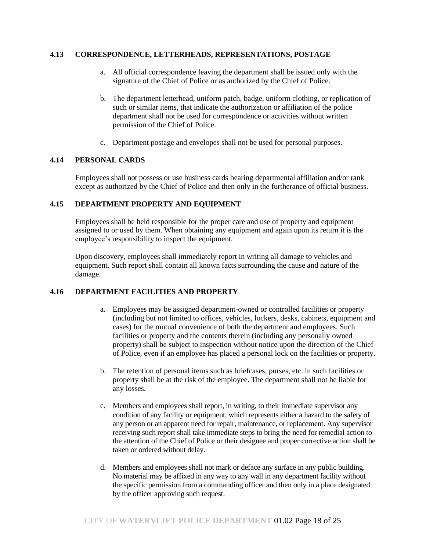#### **4.13 CORRESPONDENCE, LETTERHEADS, REPRESENTATIONS, POSTAGE**

- a. All official correspondence leaving the department shall be issued only with the signature of the Chief of Police or as authorized by the Chief of Police.
- b. The department letterhead, uniform patch, badge, uniform clothing, or replication of such or similar items, that indicate the authorization or affiliation of the police department shall not be used for correspondence or activities without written permission of the Chief of Police.
- c. Department postage and envelopes shall not be used for personal purposes.

## **4.14 PERSONAL CARDS**

Employees shall not possess or use business cards bearing departmental affiliation and/or rank except as authorized by the Chief of Police and then only in the furtherance of official business.

## **4.15 DEPARTMENT PROPERTY AND EQUIPMENT**

Employees shall be held responsible for the proper care and use of property and equipment assigned to or used by them. When obtaining any equipment and again upon its return it is the employee's responsibility to inspect the equipment.

 Upon discovery, employees shall immediately report in writing all damage to vehicles and equipment. Such report shall contain all known facts surrounding the cause and nature of the damage.

# **4.16 DEPARTMENT FACILITIES AND PROPERTY**

- a. Employees may be assigned department-owned or controlled facilities or property (including but not limited to offices, vehicles, lockers, desks, cabinets, equipment and cases) for the mutual convenience of both the department and employees. Such facilities or property and the contents therein (including any personally owned property) shall be subject to inspection without notice upon the direction of the Chief of Police, even if an employee has placed a personal lock on the facilities or property.
- b. The retention of personal items such as briefcases, purses, etc. in such facilities or property shall be at the risk of the employee. The department shall not be liable for any losses.
- c. Members and employees shall report, in writing, to their immediate supervisor any condition of any facility or equipment, which represents either a hazard to the safety of any person or an apparent need for repair, maintenance, or replacement. Any supervisor receiving such report shall take immediate steps to bring the need for remedial action to the attention of the Chief of Police or their designee and proper corrective action shall be taken or ordered without delay.
- d. Members and employees shall not mark or deface any surface in any public building. No material may be affixed in any way to any wall in any department facility without the specific permission from a commanding officer and then only in a place designated by the officer approving such request.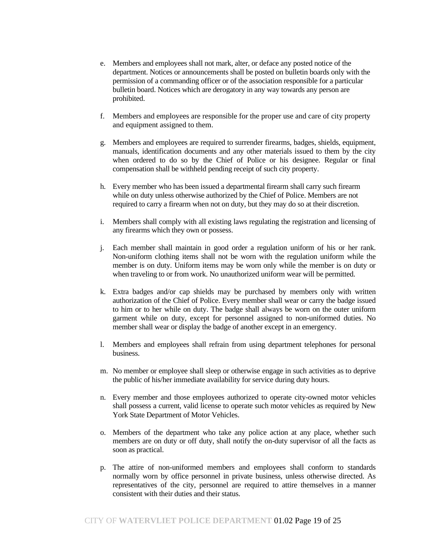- e. Members and employees shall not mark, alter, or deface any posted notice of the department. Notices or announcements shall be posted on bulletin boards only with the permission of a commanding officer or of the association responsible for a particular bulletin board. Notices which are derogatory in any way towards any person are prohibited.
- f. Members and employees are responsible for the proper use and care of city property and equipment assigned to them.
- g. Members and employees are required to surrender firearms, badges, shields, equipment, manuals, identification documents and any other materials issued to them by the city when ordered to do so by the Chief of Police or his designee. Regular or final compensation shall be withheld pending receipt of such city property.
- h. Every member who has been issued a departmental firearm shall carry such firearm while on duty unless otherwise authorized by the Chief of Police. Members are not required to carry a firearm when not on duty, but they may do so at their discretion.
- i. Members shall comply with all existing laws regulating the registration and licensing of any firearms which they own or possess.
- j. Each member shall maintain in good order a regulation uniform of his or her rank. Non-uniform clothing items shall not be worn with the regulation uniform while the member is on duty. Uniform items may be worn only while the member is on duty or when traveling to or from work. No unauthorized uniform wear will be permitted.
- k. Extra badges and/or cap shields may be purchased by members only with written authorization of the Chief of Police. Every member shall wear or carry the badge issued to him or to her while on duty. The badge shall always be worn on the outer uniform garment while on duty, except for personnel assigned to non-uniformed duties. No member shall wear or display the badge of another except in an emergency.
- l. Members and employees shall refrain from using department telephones for personal business.
- m. No member or employee shall sleep or otherwise engage in such activities as to deprive the public of his/her immediate availability for service during duty hours.
- n. Every member and those employees authorized to operate city-owned motor vehicles shall possess a current, valid license to operate such motor vehicles as required by New York State Department of Motor Vehicles.
- o. Members of the department who take any police action at any place, whether such members are on duty or off duty, shall notify the on-duty supervisor of all the facts as soon as practical.
- p. The attire of non-uniformed members and employees shall conform to standards normally worn by office personnel in private business, unless otherwise directed. As representatives of the city, personnel are required to attire themselves in a manner consistent with their duties and their status.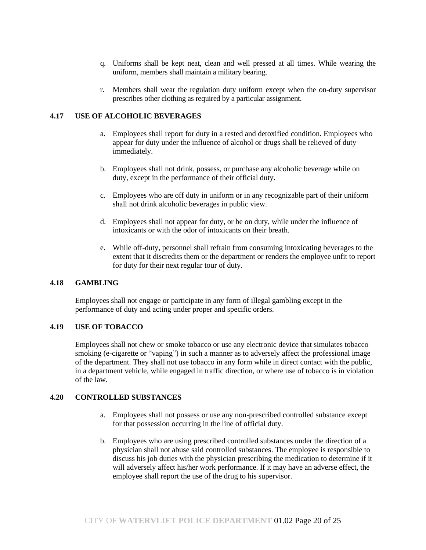- q. Uniforms shall be kept neat, clean and well pressed at all times. While wearing the uniform, members shall maintain a military bearing.
- r. Members shall wear the regulation duty uniform except when the on-duty supervisor prescribes other clothing as required by a particular assignment.

## **4.17 USE OF ALCOHOLIC BEVERAGES**

- a. Employees shall report for duty in a rested and detoxified condition. Employees who appear for duty under the influence of alcohol or drugs shall be relieved of duty immediately.
- b. Employees shall not drink, possess, or purchase any alcoholic beverage while on duty, except in the performance of their official duty.
- c. Employees who are off duty in uniform or in any recognizable part of their uniform shall not drink alcoholic beverages in public view.
- d. Employees shall not appear for duty, or be on duty, while under the influence of intoxicants or with the odor of intoxicants on their breath.
- e. While off-duty, personnel shall refrain from consuming intoxicating beverages to the extent that it discredits them or the department or renders the employee unfit to report for duty for their next regular tour of duty.

#### **4.18 GAMBLING**

Employees shall not engage or participate in any form of illegal gambling except in the performance of duty and acting under proper and specific orders.

#### **4.19 USE OF TOBACCO**

Employees shall not chew or smoke tobacco or use any electronic device that simulates tobacco smoking (e-cigarette or "vaping") in such a manner as to adversely affect the professional image of the department. They shall not use tobacco in any form while in direct contact with the public, in a department vehicle, while engaged in traffic direction, or where use of tobacco is in violation of the law.

#### **4.20 CONTROLLED SUBSTANCES**

- a. Employees shall not possess or use any non-prescribed controlled substance except for that possession occurring in the line of official duty.
- b. Employees who are using prescribed controlled substances under the direction of a physician shall not abuse said controlled substances. The employee is responsible to discuss his job duties with the physician prescribing the medication to determine if it will adversely affect his/her work performance. If it may have an adverse effect, the employee shall report the use of the drug to his supervisor.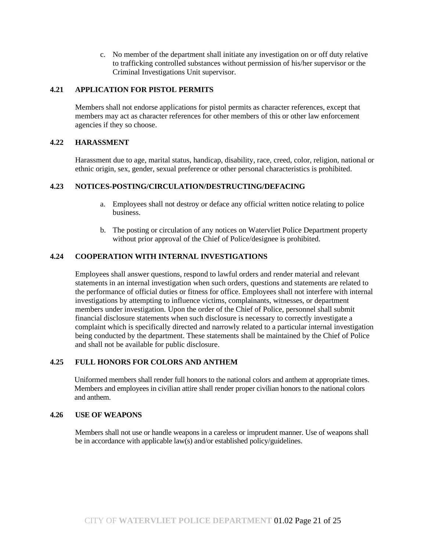c. No member of the department shall initiate any investigation on or off duty relative to trafficking controlled substances without permission of his/her supervisor or the Criminal Investigations Unit supervisor.

## **4.21 APPLICATION FOR PISTOL PERMITS**

Members shall not endorse applications for pistol permits as character references, except that members may act as character references for other members of this or other law enforcement agencies if they so choose.

#### **4.22 HARASSMENT**

Harassment due to age, marital status, handicap, disability, race, creed, color, religion, national or ethnic origin, sex, gender, sexual preference or other personal characteristics is prohibited.

## **4.23 NOTICES-POSTING/CIRCULATION/DESTRUCTING/DEFACING**

- a. Employees shall not destroy or deface any official written notice relating to police business.
- b. The posting or circulation of any notices on Watervliet Police Department property without prior approval of the Chief of Police/designee is prohibited.

#### **4.24 COOPERATION WITH INTERNAL INVESTIGATIONS**

Employees shall answer questions, respond to lawful orders and render material and relevant statements in an internal investigation when such orders, questions and statements are related to the performance of official duties or fitness for office. Employees shall not interfere with internal investigations by attempting to influence victims, complainants, witnesses, or department members under investigation. Upon the order of the Chief of Police, personnel shall submit financial disclosure statements when such disclosure is necessary to correctly investigate a complaint which is specifically directed and narrowly related to a particular internal investigation being conducted by the department. These statements shall be maintained by the Chief of Police and shall not be available for public disclosure.

#### **4.25 FULL HONORS FOR COLORS AND ANTHEM**

Uniformed members shall render full honors to the national colors and anthem at appropriate times. Members and employees in civilian attire shall render proper civilian honors to the national colors and anthem.

## **4.26 USE OF WEAPONS**

Members shall not use or handle weapons in a careless or imprudent manner. Use of weapons shall be in accordance with applicable law(s) and/or established policy/guidelines.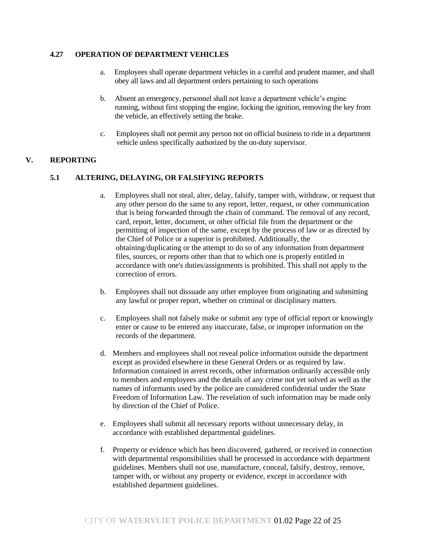# **4.27 OPERATION OF DEPARTMENT VEHICLES**

- a. Employees shall operate department vehicles in a careful and prudent manner, and shall obey all laws and all department orders pertaining to such operations
- b. Absent an emergency, personnel shall not leave a department vehicle's engine running, without first stopping the engine, locking the ignition, removing the key from the vehicle, an effectively setting the brake.
- c. Employees shall not permit any person not on official business to ride in a department vehicle unless specifically authorized by the on-duty supervisor.

## **V. REPORTING**

## **5.1 ALTERING, DELAYING, OR FALSIFYING REPORTS**

- a. Employees shall not steal, alter, delay, falsify, tamper with, withdraw, or request that any other person do the same to any report, letter, request, or other communication that is being forwarded through the chain of command. The removal of any record, card, report, letter, document, or other official file from the department or the permitting of inspection of the same, except by the process of law or as directed by the Chief of Police or a superior is prohibited. Additionally, the obtaining/duplicating or the attempt to do so of any information from department files, sources, or reports other than that to which one is properly entitled in accordance with one's duties/assignments is prohibited. This shall not apply to the correction of errors.
- b. Employees shall not dissuade any other employee from originating and submitting any lawful or proper report, whether on criminal or disciplinary matters.
- c. Employees shall not falsely make or submit any type of official report or knowingly enter or cause to be entered any inaccurate, false, or improper information on the records of the department.
- d. Members and employees shall not reveal police information outside the department except as provided elsewhere in these General Orders or as required by law. Information contained in arrest records, other information ordinarily accessible only to members and employees and the details of any crime not yet solved as well as the names of informants used by the police are considered confidential under the State Freedom of Information Law. The revelation of such information may be made only by direction of the Chief of Police.
- e. Employees shall submit all necessary reports without unnecessary delay, in accordance with established departmental guidelines.
- f. Property or evidence which has been discovered, gathered, or received in connection with departmental responsibilities shall be processed in accordance with department guidelines. Members shall not use, manufacture, conceal, falsify, destroy, remove, tamper with, or without any property or evidence, except in accordance with established department guidelines.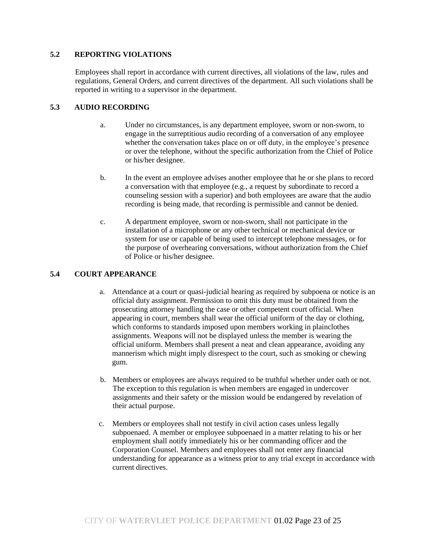# **5.2 REPORTING VIOLATIONS**

Employees shall report in accordance with current directives, all violations of the law, rules and regulations, General Orders, and current directives of the department. All such violations shall be reported in writing to a supervisor in the department.

# **5.3 AUDIO RECORDING**

- a. Under no circumstances, is any department employee, sworn or non-sworn, to engage in the surreptitious audio recording of a conversation of any employee whether the conversation takes place on or off duty, in the employee's presence or over the telephone, without the specific authorization from the Chief of Police or his/her designee.
- b. In the event an employee advises another employee that he or she plans to record a conversation with that employee (e.g., a request by subordinate to record a counseling session with a superior) and both employees are aware that the audio recording is being made, that recording is permissible and cannot be denied.
- c. A department employee, sworn or non-sworn, shall not participate in the installation of a microphone or any other technical or mechanical device or system for use or capable of being used to intercept telephone messages, or for the purpose of overhearing conversations, without authorization from the Chief of Police or his/her designee.

# **5.4 COURT APPEARANCE**

- a. Attendance at a court or quasi-judicial hearing as required by subpoena or notice is an official duty assignment. Permission to omit this duty must be obtained from the prosecuting attorney handling the case or other competent court official. When appearing in court, members shall wear the official uniform of the day or clothing, which conforms to standards imposed upon members working in plainclothes assignments. Weapons will not be displayed unless the member is wearing the official uniform. Members shall present a neat and clean appearance, avoiding any mannerism which might imply disrespect to the court, such as smoking or chewing gum.
- b. Members or employees are always required to be truthful whether under oath or not. The exception to this regulation is when members are engaged in undercover assignments and their safety or the mission would be endangered by revelation of their actual purpose.
- c. Members or employees shall not testify in civil action cases unless legally subpoenaed. A member or employee subpoenaed in a matter relating to his or her employment shall notify immediately his or her commanding officer and the Corporation Counsel. Members and employees shall not enter any financial understanding for appearance as a witness prior to any trial except in accordance with current directives.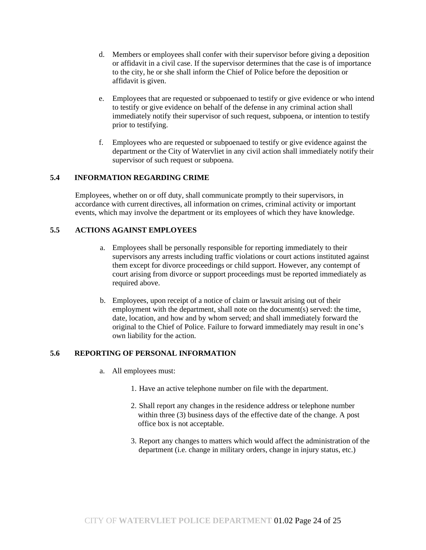- d. Members or employees shall confer with their supervisor before giving a deposition or affidavit in a civil case. If the supervisor determines that the case is of importance to the city, he or she shall inform the Chief of Police before the deposition or affidavit is given.
- e. Employees that are requested or subpoenaed to testify or give evidence or who intend to testify or give evidence on behalf of the defense in any criminal action shall immediately notify their supervisor of such request, subpoena, or intention to testify prior to testifying.
- f. Employees who are requested or subpoenaed to testify or give evidence against the department or the City of Watervliet in any civil action shall immediately notify their supervisor of such request or subpoena.

# **5.4 INFORMATION REGARDING CRIME**

Employees, whether on or off duty, shall communicate promptly to their supervisors, in accordance with current directives, all information on crimes, criminal activity or important events, which may involve the department or its employees of which they have knowledge.

## **5.5 ACTIONS AGAINST EMPLOYEES**

- a. Employees shall be personally responsible for reporting immediately to their supervisors any arrests including traffic violations or court actions instituted against them except for divorce proceedings or child support. However, any contempt of court arising from divorce or support proceedings must be reported immediately as required above.
- b. Employees, upon receipt of a notice of claim or lawsuit arising out of their employment with the department, shall note on the document(s) served: the time, date, location, and how and by whom served; and shall immediately forward the original to the Chief of Police. Failure to forward immediately may result in one's own liability for the action.

## **5.6 REPORTING OF PERSONAL INFORMATION**

- a. All employees must:
	- 1. Have an active telephone number on file with the department.
	- 2. Shall report any changes in the residence address or telephone number within three (3) business days of the effective date of the change. A post office box is not acceptable.
	- 3. Report any changes to matters which would affect the administration of the department (i.e. change in military orders, change in injury status, etc.)